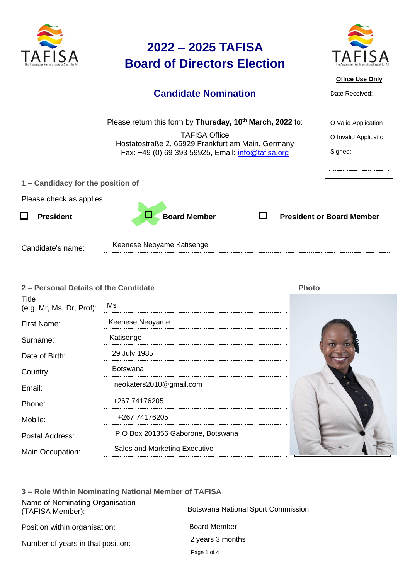



**Office Use Only**

O Valid Application

O Invalid Application

Signed:

Date Received:

#### **Candidate Nomination**

Please return this form by **Thursday, 10th March, 2022** to:

TAFISA Office Hostatostraße 2, 65929 Frankfurt am Main, Germany Fax: +49 (0) 69 393 59925, Email: [info@tafisa.org](mailto:info@tafisa.net)

**1 – Candidacy for the position of** 

Please check as applies

 $\Box$ 



Candidate's name:

Keenese Neoyame Katisenge

| 2 - Personal Details of the Candidate |                                   | Photo |  |  |  |
|---------------------------------------|-----------------------------------|-------|--|--|--|
| Title<br>(e.g. Mr, Ms, Dr, Prof):     | Ms                                |       |  |  |  |
| First Name:                           | Keenese Neoyame                   |       |  |  |  |
| Surname:                              | Katisenge                         |       |  |  |  |
| Date of Birth:                        | 29 July 1985                      |       |  |  |  |
| Country:                              | <b>Botswana</b>                   |       |  |  |  |
| Email:                                | neokaters2010@gmail.com           |       |  |  |  |
| Phone:                                | +267 74176205                     |       |  |  |  |
| Mobile:                               | +267 74176205                     |       |  |  |  |
| Postal Address:                       | P.O Box 201356 Gaborone, Botswana |       |  |  |  |
| Main Occupation:                      | Sales and Marketing Executive     |       |  |  |  |
|                                       |                                   |       |  |  |  |



| 3 – Role Within Nominating National Member of TAFISA |                                           |  |  |
|------------------------------------------------------|-------------------------------------------|--|--|
| Name of Nominating Organisation<br>(TAFISA Member):  | <b>Botswana National Sport Commission</b> |  |  |
| Position within organisation:                        | <b>Board Member</b>                       |  |  |
| Number of years in that position:                    | 2 years 3 months                          |  |  |
|                                                      | Page 1 of 4                               |  |  |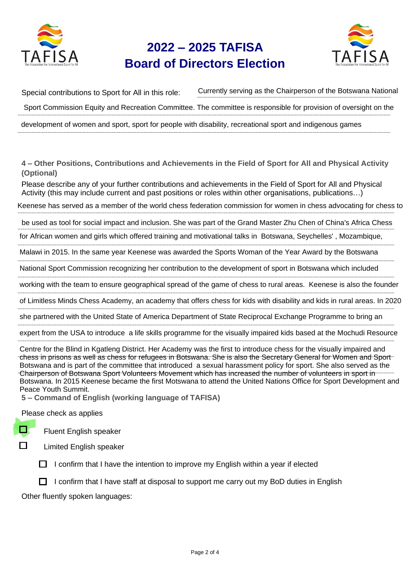



Special contributions to Sport for All in this role: Special contributions to Sport for All in this role: Currently serving as the Chairperson of the Botswana National<br>Sport Commission Equity and Recreation Committee. The committee is responsible for provision of oversight o

**4 – Other Positions, Contributions and Achievements in the Field of Sport for All and Physical Activity (Optional)**

Please describe any of your further contributions and achievements in the Field of Sport for All and Physical Activity (this may include current and past positions or roles within other organisations, publications…)

Keenese has served as a member of the world chess federation commission for women in chess advocating for chess to

be used as tool for social impact and inclusion. She was part of the Grand Master Zhu Chen of China's Africa Chess

for African women and girls which offered training and motivational talks in Botswana, Seychelles' , Mozambique,

Malawi in 2015. In the same year Keenese was awarded the Sports Woman of the Year Award by the Botswana

National Sport Commission recognizing her contribution to the development of sport in Botswana which included

working with the team to ensure geographical spread of the game of chess to rural areas. Keenese is also the founder

of Limitless Minds Chess Academy, an academy that offers chess for kids with disability and kids in rural areas. In 2020

she partnered with the United State of America Department of State Reciprocal Exchange Programme to bring an

expert from the USA to introduce a life skills programme for the visually impaired kids based at the Mochudi Resource

Centre for the Blind in Kgatleng District. Her Academy was the first to introduce chess for the visually impaired and chess in prisons as well as chess for refugees in Botswana. She is also the Secretary General for Women and Sport Botswana and is part of the committee that introduced a sexual harassment policy for sport. She also served as the Chairperson of Botswana Sport Volunteers Movement which has increased the number of volunteers in sport in Botswana. In 2015 Keenese became the first Motswana to attend the United Nations Office for Sport Development and Peace Youth Summit.

**5 – Command of English (working language of TAFISA)**

Please check as applies

Fluent English speaker

П

Limited English speaker

 $\Box$  I confirm that I have the intention to improve my English within a year if elected

 $\Box$  I confirm that I have staff at disposal to support me carry out my BoD duties in English

Other fluently spoken languages: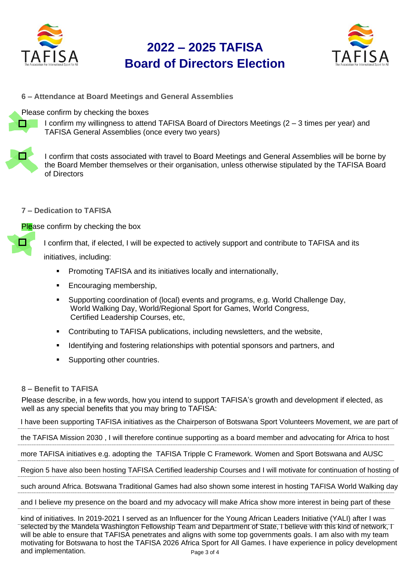



**6 – Attendance at Board Meetings and General Assemblies**

Please confirm by checking the boxes

I confirm my willingness to attend TAFISA Board of Directors Meetings (2 – 3 times per year) and TAFISA General Assemblies (once every two years)

I confirm that costs associated with travel to Board Meetings and General Assemblies will be borne by the Board Member themselves or their organisation, unless otherwise stipulated by the TAFISA Board of Directors

**7 – Dedication to TAFISA**

Please confirm by checking the box

I confirm that, if elected, I will be expected to actively support and contribute to TAFISA and its

initiatives, including:

- **•** Promoting TAFISA and its initiatives locally and internationally,
- Encouraging membership,
- Supporting coordination of (local) events and programs, e.g. World Challenge Day, World Walking Day, World/Regional Sport for Games, World Congress, Certified Leadership Courses, etc,
- Contributing to TAFISA publications, including newsletters, and the website,
- Identifying and fostering relationships with potential sponsors and partners, and
- Supporting other countries.

#### **8 – Benefit to TAFISA**

Please describe, in a few words, how you intend to support TAFISA's growth and development if elected, as well as any special benefits that you may bring to TAFISA:

I have been supporting TAFISA initiatives as the Chairperson of Botswana Sport Volunteers Movement, we are part of

the TAFISA Mission 2030 , I will therefore continue supporting as a board member and advocating for Africa to host

more TAFISA initiatives e.g. adopting the TAFISA Tripple C Framework. Women and Sport Botswana and AUSC

Region 5 have also been hosting TAFISA Certified leadership Courses and I will motivate for continuation of hosting of

such around Africa. Botswana Traditional Games had also shown some interest in hosting TAFISA World Walking day

and I believe my presence on the board and my advocacy will make Africa show more interest in being part of these

Page 3 of 4 kind of initiatives. In 2019-2021 I served as an Influencer for the Young African Leaders Initiative (YALI) after I was selected by the Mandela Washington Fellowship Team and Department of State, I believe with this kind of network, I will be able to ensure that TAFISA penetrates and aligns with some top governments goals. I am also with my team motivating for Botswana to host the TAFISA 2026 Africa Sport for All Games. I have experience in policy development and implementation.